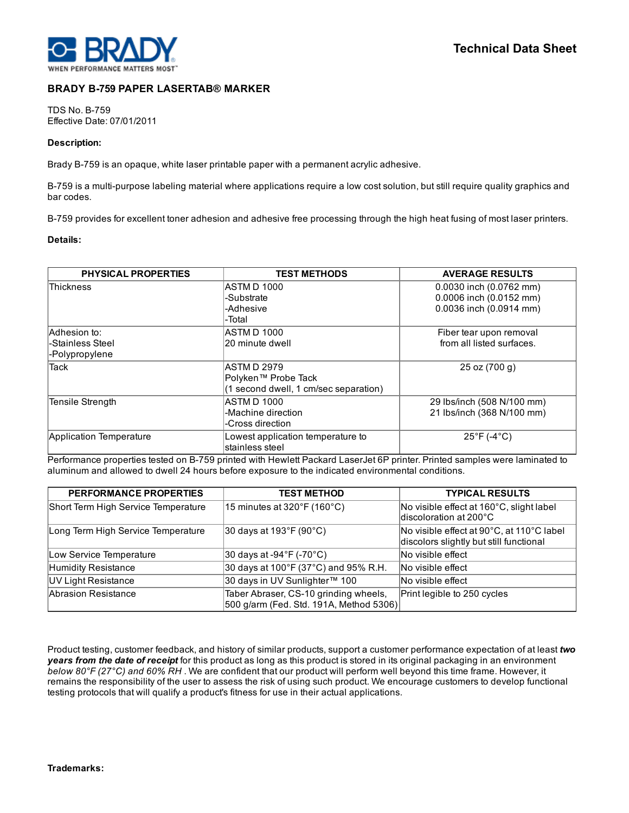

## BRADY B759 PAPER LASERTAB® MARKER

**TDS No. B-759** Effective Date: 07/01/2011

## Description:

Brady B-759 is an opaque, white laser printable paper with a permanent acrylic adhesive.

B-759 is a multi-purpose labeling material where applications require a low cost solution, but still require quality graphics and bar codes.

B-759 provides for excellent toner adhesion and adhesive free processing through the high heat fusing of most laser printers.

## Details:

| <b>PHYSICAL PROPERTIES</b>                         | <b>TEST METHODS</b>                                                         | <b>AVERAGE RESULTS</b>                                                        |
|----------------------------------------------------|-----------------------------------------------------------------------------|-------------------------------------------------------------------------------|
| <b>Thickness</b>                                   | IASTM D 1000<br>-Substrate<br>-Adhesive<br>-Total                           | 0.0030 inch (0.0762 mm)<br>0.0006 inch (0.0152 mm)<br>0.0036 inch (0.0914 mm) |
| Adhesion to:<br>-Stainless Steel<br>-Polypropylene | ASTM D 1000<br>20 minute dwell                                              | Fiber tear upon removal<br>from all listed surfaces.                          |
| <b>Tack</b>                                        | ASTM D 2979<br>Polyken™ Probe Tack<br>(1 second dwell, 1 cm/sec separation) | 25 oz (700 g)                                                                 |
| Tensile Strength                                   | ASTM D 1000<br>-Machine direction<br>-Cross direction                       | 29 Ibs/inch (508 N/100 mm)<br>21 lbs/inch (368 N/100 mm)                      |
| Application Temperature                            | Lowest application temperature to<br>stainless steel                        | $25^{\circ}$ F (-4 $^{\circ}$ C)                                              |

Performance properties tested on B-759 printed with Hewlett Packard LaserJet 6P printer. Printed samples were laminated to aluminum and allowed to dwell 24 hours before exposure to the indicated environmental conditions.

| <b>PERFORMANCE PROPERTIES</b>       | <b>TEST METHOD</b>                                                               | <b>TYPICAL RESULTS</b>                                                               |
|-------------------------------------|----------------------------------------------------------------------------------|--------------------------------------------------------------------------------------|
| Short Term High Service Temperature | 15 minutes at $320^{\circ}$ F (160 $^{\circ}$ C)                                 | No visible effect at 160°C, slight label<br>discoloration at 200°C                   |
| Long Term High Service Temperature  | $ 30 \text{ days}$ at 193°F (90°C)                                               | No visible effect at 90°C, at 110°C label<br>discolors slightly but still functional |
| Low Service Temperature             | $ 30 \text{ days}$ at -94 $\degree$ F (-70 $\degree$ C)                          | No visible effect                                                                    |
| Humidity Resistance                 | 30 days at 100°F (37°C) and 95% R.H.                                             | No visible effect                                                                    |
| UV Light Resistance                 | 30 days in UV Sunlighter™ 100                                                    | No visible effect                                                                    |
| Abrasion Resistance                 | Taber Abraser, CS-10 grinding wheels,<br>500 g/arm (Fed. Std. 191A, Method 5306) | Print legible to 250 cycles                                                          |

Product testing, customer feedback, and history of similar products, support a customer performance expectation of at least *two years from the date of receipt* for this product as long as this product is stored in its original packaging in an environment *below 80°F (27°C) and 60% RH* . We are confident that our product will perform well beyond this time frame. However, it remains the responsibility of the user to assess the risk of using such product. We encourage customers to develop functional testing protocols that will qualify a product's fitness for use in their actual applications.